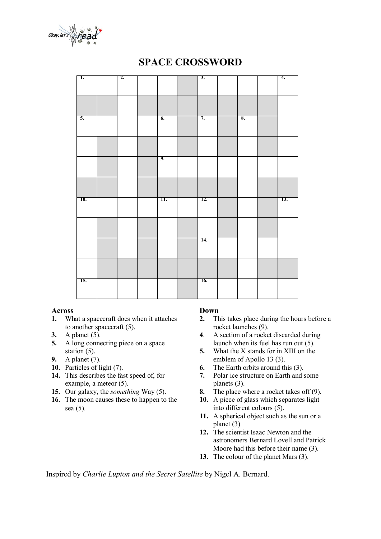

## **SPACE CROSSWORD**

| $\overline{\Box}$ | $\overline{2.}$ |                   | $\overline{3}$ .  |                           | 4.  |
|-------------------|-----------------|-------------------|-------------------|---------------------------|-----|
|                   |                 |                   |                   |                           |     |
|                   |                 |                   |                   |                           |     |
| $\overline{5}$ .  |                 | $\overline{6}$ .  | 7.                | $\overline{\mathbf{8}}$ . |     |
|                   |                 |                   |                   |                           |     |
|                   |                 | 9.                |                   |                           |     |
|                   |                 |                   |                   |                           |     |
| $\overline{10}$ . |                 | $\overline{11}$ . | $\overline{12}$ . |                           | 13. |
|                   |                 |                   |                   |                           |     |
|                   |                 |                   | 14.               |                           |     |
|                   |                 |                   |                   |                           |     |
| 15.               |                 |                   | T6.               |                           |     |

#### **Across**

- **1.** What a spacecraft does when it attaches to another spacecraft (5).
- **3.** A planet (5).
- **5.** A long connecting piece on a space station (5).
- **9.** A planet (7).
- **10.** Particles of light (7).
- **14.** This describes the fast speed of, for example, a meteor (5).
- **15.** Our galaxy, the *something* Way (5).
- **16.** The moon causes these to happen to the sea (5).

#### **Down**

- **2.** This takes place during the hours before a rocket launches (9).
- **4**. A section of a rocket discarded during launch when its fuel has run out (5).
- **5.** What the X stands for in XIII on the emblem of Apollo 13 (3).
- **6.** The Earth orbits around this (3).
- **7.** Polar ice structure on Earth and some planets (3).
- **8.** The place where a rocket takes off (9).
- **10.** A piece of glass which separates light into different colours (5).
- **11.** A spherical object such as the sun or a planet (3)
- **12.** The scientist Isaac Newton and the astronomers Bernard Lovell and Patrick Moore had this before their name (3).
- **13.** The colour of the planet Mars (3).

Inspired by *Charlie Lupton and the Secret Satellite* by Nigel A. Bernard.